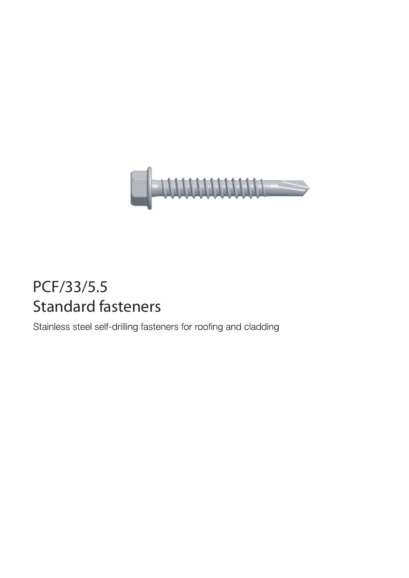

## PCF/33/5.5 Standard fasteners

Stainless steel self-drilling fasteners for roofing and cladding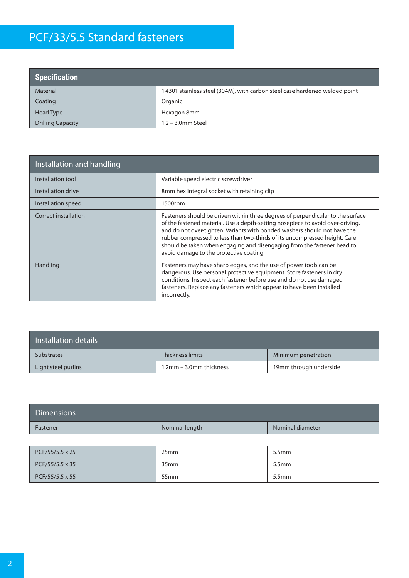## PCF/33/5.5 Standard fasteners

| <b>Specification</b>     |                                                                             |
|--------------------------|-----------------------------------------------------------------------------|
| <b>Material</b>          | 1.4301 stainless steel (304M), with carbon steel case hardened welded point |
| Coating                  | Organic                                                                     |
| Head Type                | Hexagon 8mm                                                                 |
| <b>Drilling Capacity</b> | $1.2 - 3.0$ mm Steel                                                        |

| Installation and handling |                                                                                                                                                                                                                                                                                                                                                                                                                                                    |
|---------------------------|----------------------------------------------------------------------------------------------------------------------------------------------------------------------------------------------------------------------------------------------------------------------------------------------------------------------------------------------------------------------------------------------------------------------------------------------------|
| Installation tool         | Variable speed electric screwdriver                                                                                                                                                                                                                                                                                                                                                                                                                |
| Installation drive        | 8mm hex integral socket with retaining clip                                                                                                                                                                                                                                                                                                                                                                                                        |
| Installation speed        | 1500rpm                                                                                                                                                                                                                                                                                                                                                                                                                                            |
| Correct installation      | Fasteners should be driven within three degrees of perpendicular to the surface<br>of the fastened material. Use a depth-setting nosepiece to avoid over-driving,<br>and do not over-tighten. Variants with bonded washers should not have the<br>rubber compressed to less than two-thirds of its uncompressed height. Care<br>should be taken when engaging and disengaging from the fastener head to<br>avoid damage to the protective coating. |
| Handling                  | Fasteners may have sharp edges, and the use of power tools can be<br>dangerous. Use personal protective equipment. Store fasteners in dry<br>conditions. Inspect each fastener before use and do not use damaged<br>fasteners. Replace any fasteners which appear to have been installed<br>incorrectly.                                                                                                                                           |

| Installation details |                         |                        |  |  |
|----------------------|-------------------------|------------------------|--|--|
| <b>Substrates</b>    | Thickness limits        | Minimum penetration    |  |  |
| Light steel purlins  | 1.2mm – 3.0mm thickness | 19mm through underside |  |  |

| <b>Dimensions</b> |                |                  |
|-------------------|----------------|------------------|
| Fastener          | Nominal length | Nominal diameter |

| $PCF/55/5.5 \times 25$ | 25 <sub>mm</sub> | 5.5 <sub>mm</sub> |
|------------------------|------------------|-------------------|
| $PCF/55/5.5 \times 35$ | 35 <sub>mm</sub> | 5.5mm             |
| $PCF/55/5.5 \times 55$ | 55 <sub>mm</sub> | 5.5mm             |